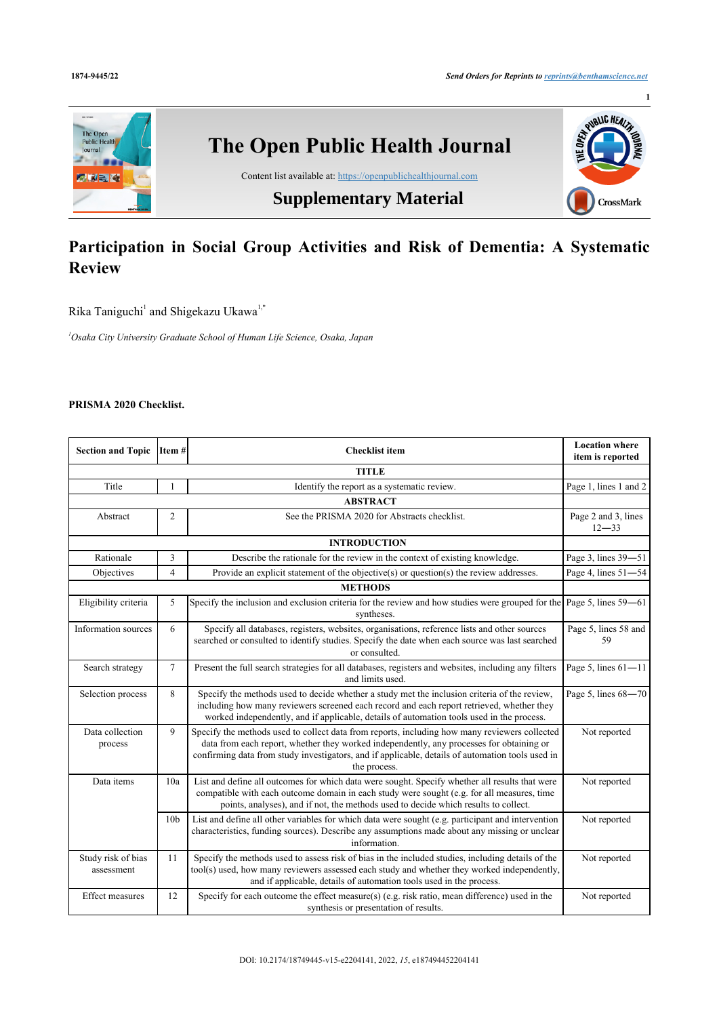

# **Participation in Social Group Activities and Risk of Dementia: A Systematic Review**

Rika Taniguchi<sup>[1](#page-0-0)</sup> and Shigekazu Ukawa<sup>1[,\\*](#page--1-0)</sup>

<span id="page-0-0"></span>*<sup>1</sup>Osaka City University Graduate School of Human Life Science, Osaka, Japan*

## **PRISMA 2020 Checklist.**

| <b>Section and Topic</b>         | $\vert$ Item # $\vert$ | <b>Checklist</b> item                                                                                                                                                                                                                                                                                         | <b>Location where</b><br>item is reported |  |  |  |
|----------------------------------|------------------------|---------------------------------------------------------------------------------------------------------------------------------------------------------------------------------------------------------------------------------------------------------------------------------------------------------------|-------------------------------------------|--|--|--|
| <b>TITLE</b>                     |                        |                                                                                                                                                                                                                                                                                                               |                                           |  |  |  |
| Title                            | 1                      | Identify the report as a systematic review.                                                                                                                                                                                                                                                                   | Page 1, lines 1 and 2                     |  |  |  |
| <b>ABSTRACT</b>                  |                        |                                                                                                                                                                                                                                                                                                               |                                           |  |  |  |
| Abstract                         | $\overline{c}$         | See the PRISMA 2020 for Abstracts checklist.                                                                                                                                                                                                                                                                  | Page 2 and 3, lines<br>$12 - 33$          |  |  |  |
| <b>INTRODUCTION</b>              |                        |                                                                                                                                                                                                                                                                                                               |                                           |  |  |  |
| Rationale                        | 3                      | Describe the rationale for the review in the context of existing knowledge.                                                                                                                                                                                                                                   | Page 3, lines 39-51                       |  |  |  |
| Objectives                       | $\overline{4}$         | Provide an explicit statement of the objective(s) or question(s) the review addresses.                                                                                                                                                                                                                        | Page 4, lines 51-54                       |  |  |  |
|                                  | <b>METHODS</b>         |                                                                                                                                                                                                                                                                                                               |                                           |  |  |  |
| Eligibility criteria             | 5                      | Specify the inclusion and exclusion criteria for the review and how studies were grouped for the<br>syntheses.                                                                                                                                                                                                | Page 5, lines 59–61                       |  |  |  |
| Information sources              | 6                      | Specify all databases, registers, websites, organisations, reference lists and other sources<br>searched or consulted to identify studies. Specify the date when each source was last searched<br>or consulted.                                                                                               | Page 5, lines 58 and<br>59                |  |  |  |
| Search strategy                  | $\tau$                 | Present the full search strategies for all databases, registers and websites, including any filters<br>and limits used.                                                                                                                                                                                       | Page 5, lines $61 - 11$                   |  |  |  |
| Selection process                | 8                      | Specify the methods used to decide whether a study met the inclusion criteria of the review,<br>including how many reviewers screened each record and each report retrieved, whether they<br>worked independently, and if applicable, details of automation tools used in the process.                        | Page 5, lines 68-70                       |  |  |  |
| Data collection<br>process       | 9                      | Specify the methods used to collect data from reports, including how many reviewers collected<br>data from each report, whether they worked independently, any processes for obtaining or<br>confirming data from study investigators, and if applicable, details of automation tools used in<br>the process. | Not reported                              |  |  |  |
| Data items                       | 10a                    | List and define all outcomes for which data were sought. Specify whether all results that were<br>compatible with each outcome domain in each study were sought (e.g. for all measures, time<br>points, analyses), and if not, the methods used to decide which results to collect.                           | Not reported                              |  |  |  |
|                                  | 10 <sub>b</sub>        | List and define all other variables for which data were sought (e.g. participant and intervention<br>characteristics, funding sources). Describe any assumptions made about any missing or unclear<br>information.                                                                                            | Not reported                              |  |  |  |
| Study risk of bias<br>assessment | 11                     | Specify the methods used to assess risk of bias in the included studies, including details of the<br>tool(s) used, how many reviewers assessed each study and whether they worked independently,<br>and if applicable, details of automation tools used in the process.                                       | Not reported                              |  |  |  |
| Effect measures                  | 12                     | Specify for each outcome the effect measure(s) (e.g. risk ratio, mean difference) used in the<br>synthesis or presentation of results.                                                                                                                                                                        | Not reported                              |  |  |  |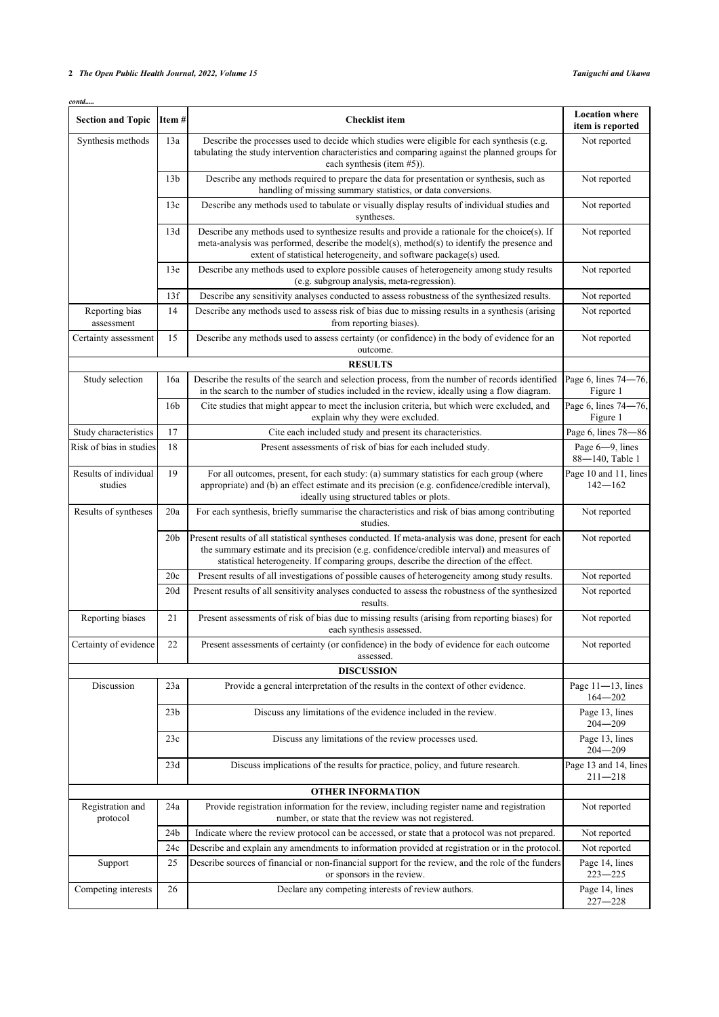### **2** *The Open Public Health Journal, 2022, Volume 15 Taniguchi and Ukawa*

| contd<br><b>Section and Topic</b> | Item#           | <b>Checklist item</b>                                                                                                                                                                                                                                                                      | <b>Location</b> where<br>item is reported |
|-----------------------------------|-----------------|--------------------------------------------------------------------------------------------------------------------------------------------------------------------------------------------------------------------------------------------------------------------------------------------|-------------------------------------------|
| Synthesis methods                 | 13a             | Describe the processes used to decide which studies were eligible for each synthesis (e.g.<br>tabulating the study intervention characteristics and comparing against the planned groups for<br>each synthesis (item #5)).                                                                 | Not reported                              |
|                                   | 13 <sub>b</sub> | Describe any methods required to prepare the data for presentation or synthesis, such as<br>handling of missing summary statistics, or data conversions.                                                                                                                                   | Not reported                              |
|                                   | 13c             | Describe any methods used to tabulate or visually display results of individual studies and<br>syntheses.                                                                                                                                                                                  | Not reported                              |
|                                   | 13d             | Describe any methods used to synthesize results and provide a rationale for the choice(s). If<br>meta-analysis was performed, describe the model(s), method(s) to identify the presence and<br>extent of statistical heterogeneity, and software package(s) used.                          | Not reported                              |
|                                   | 13e             | Describe any methods used to explore possible causes of heterogeneity among study results<br>(e.g. subgroup analysis, meta-regression).                                                                                                                                                    | Not reported                              |
|                                   | 13f             | Describe any sensitivity analyses conducted to assess robustness of the synthesized results.                                                                                                                                                                                               | Not reported                              |
| Reporting bias<br>assessment      | 14              | Describe any methods used to assess risk of bias due to missing results in a synthesis (arising<br>from reporting biases).                                                                                                                                                                 | Not reported                              |
| Certainty assessment              | 15              | Describe any methods used to assess certainty (or confidence) in the body of evidence for an<br>outcome.                                                                                                                                                                                   | Not reported                              |
|                                   |                 | <b>RESULTS</b>                                                                                                                                                                                                                                                                             |                                           |
| Study selection                   | 16a             | Describe the results of the search and selection process, from the number of records identified<br>in the search to the number of studies included in the review, ideally using a flow diagram.                                                                                            | Page 6, lines 74-<br>Figure 1             |
|                                   | 16 <sub>b</sub> | Cite studies that might appear to meet the inclusion criteria, but which were excluded, and<br>explain why they were excluded.                                                                                                                                                             | Page 6, lines 74-<br>Figure 1             |
| Study characteristics             | 17              | Cite each included study and present its characteristics.                                                                                                                                                                                                                                  | Page 6, lines 78-                         |
| Risk of bias in studies           | 18              | Present assessments of risk of bias for each included study.                                                                                                                                                                                                                               | Page 6-9, lines<br>88-140, Table          |
| Results of individual<br>studies  | 19              | For all outcomes, present, for each study: (a) summary statistics for each group (where<br>appropriate) and (b) an effect estimate and its precision (e.g. confidence/credible interval),<br>ideally using structured tables or plots.                                                     | Page 10 and 11, lin<br>$142 - 162$        |
| Results of syntheses              | 20a             | For each synthesis, briefly summarise the characteristics and risk of bias among contributing<br>studies.                                                                                                                                                                                  | Not reported                              |
|                                   | 20 <sub>b</sub> | Present results of all statistical syntheses conducted. If meta-analysis was done, present for each<br>the summary estimate and its precision (e.g. confidence/credible interval) and measures of<br>statistical heterogeneity. If comparing groups, describe the direction of the effect. | Not reported                              |
|                                   | 20c             | Present results of all investigations of possible causes of heterogeneity among study results.                                                                                                                                                                                             | Not reported                              |
|                                   | 20d             | Present results of all sensitivity analyses conducted to assess the robustness of the synthesized<br>results.                                                                                                                                                                              | Not reported                              |
| Reporting biases                  | 21              | Present assessments of risk of bias due to missing results (arising from reporting biases) for<br>each synthesis assessed.                                                                                                                                                                 | Not reported                              |
| Certainty of evidence             | 22              | Present assessments of certainty (or confidence) in the body of evidence for each outcome                                                                                                                                                                                                  | Not reported                              |

| Synthesis methods                | 13a             | Describe the processes used to decide which studies were eligible for each synthesis (e.g.<br>tabulating the study intervention characteristics and comparing against the planned groups for<br>each synthesis (item $#5$ )).                                                              | Not reported                         |
|----------------------------------|-----------------|--------------------------------------------------------------------------------------------------------------------------------------------------------------------------------------------------------------------------------------------------------------------------------------------|--------------------------------------|
|                                  | 13 <sub>b</sub> | Describe any methods required to prepare the data for presentation or synthesis, such as<br>handling of missing summary statistics, or data conversions.                                                                                                                                   | Not reported                         |
|                                  | 13c             | Describe any methods used to tabulate or visually display results of individual studies and<br>syntheses.                                                                                                                                                                                  | Not reported                         |
|                                  | 13d             | Describe any methods used to synthesize results and provide a rationale for the choice(s). If<br>meta-analysis was performed, describe the model(s), method(s) to identify the presence and<br>extent of statistical heterogeneity, and software package(s) used.                          | Not reported                         |
|                                  | 13e             | Describe any methods used to explore possible causes of heterogeneity among study results<br>(e.g. subgroup analysis, meta-regression).                                                                                                                                                    | Not reported                         |
|                                  | 13f             | Describe any sensitivity analyses conducted to assess robustness of the synthesized results.                                                                                                                                                                                               | Not reported                         |
| Reporting bias<br>assessment     | 14              | Describe any methods used to assess risk of bias due to missing results in a synthesis (arising<br>from reporting biases).                                                                                                                                                                 | Not reported                         |
| Certainty assessment             | 15              | Describe any methods used to assess certainty (or confidence) in the body of evidence for an<br>outcome.                                                                                                                                                                                   | Not reported                         |
|                                  |                 | <b>RESULTS</b>                                                                                                                                                                                                                                                                             |                                      |
| Study selection                  | 16a             | Describe the results of the search and selection process, from the number of records identified<br>in the search to the number of studies included in the review, ideally using a flow diagram.                                                                                            | Page 6, lines 74-76,<br>Figure 1     |
|                                  | 16 <sub>b</sub> | Cite studies that might appear to meet the inclusion criteria, but which were excluded, and<br>explain why they were excluded.                                                                                                                                                             | Page 6, lines 74-76,<br>Figure 1     |
| Study characteristics            | 17              | Cite each included study and present its characteristics.                                                                                                                                                                                                                                  | Page 6, lines 78-86                  |
| Risk of bias in studies          | 18              | Present assessments of risk of bias for each included study.                                                                                                                                                                                                                               | Page 6-9, lines<br>88-140, Table 1   |
| Results of individual<br>studies | 19              | For all outcomes, present, for each study: (a) summary statistics for each group (where<br>appropriate) and (b) an effect estimate and its precision (e.g. confidence/credible interval),<br>ideally using structured tables or plots.                                                     | Page 10 and 11, lines<br>$142 - 162$ |
| Results of syntheses             | 20a             | For each synthesis, briefly summarise the characteristics and risk of bias among contributing<br>studies.                                                                                                                                                                                  | Not reported                         |
|                                  | 20 <sub>b</sub> | Present results of all statistical syntheses conducted. If meta-analysis was done, present for each<br>the summary estimate and its precision (e.g. confidence/credible interval) and measures of<br>statistical heterogeneity. If comparing groups, describe the direction of the effect. | Not reported                         |
|                                  | 20c             | Present results of all investigations of possible causes of heterogeneity among study results.                                                                                                                                                                                             | Not reported                         |
|                                  | 20d             | Present results of all sensitivity analyses conducted to assess the robustness of the synthesized<br>results.                                                                                                                                                                              | Not reported                         |
| Reporting biases                 | 21              | Present assessments of risk of bias due to missing results (arising from reporting biases) for<br>each synthesis assessed.                                                                                                                                                                 | Not reported                         |
| Certainty of evidence            | 22              | Present assessments of certainty (or confidence) in the body of evidence for each outcome<br>assessed.                                                                                                                                                                                     | Not reported                         |
|                                  |                 | <b>DISCUSSION</b>                                                                                                                                                                                                                                                                          |                                      |
| Discussion                       | 23a             | Provide a general interpretation of the results in the context of other evidence.                                                                                                                                                                                                          | Page 11-13, lines<br>$164 - 202$     |
|                                  | 23 <sub>b</sub> | Discuss any limitations of the evidence included in the review.                                                                                                                                                                                                                            | Page 13, lines<br>$204 - 209$        |
|                                  | 23c             | Discuss any limitations of the review processes used.                                                                                                                                                                                                                                      | Page 13, lines<br>$204 - 209$        |
|                                  | 23d             | Discuss implications of the results for practice, policy, and future research.                                                                                                                                                                                                             | Page 13 and 14, lines<br>211-218     |
|                                  |                 | <b>OTHER INFORMATION</b>                                                                                                                                                                                                                                                                   |                                      |
| Registration and<br>protocol     | 24a             | Provide registration information for the review, including register name and registration<br>number, or state that the review was not registered.                                                                                                                                          | Not reported                         |
|                                  | 24b             | Indicate where the review protocol can be accessed, or state that a protocol was not prepared.                                                                                                                                                                                             | Not reported                         |
|                                  | 24c             | Describe and explain any amendments to information provided at registration or in the protocol.                                                                                                                                                                                            | Not reported                         |
| Support                          | 25              | Describe sources of financial or non-financial support for the review, and the role of the funders<br>or sponsors in the review.                                                                                                                                                           | Page 14, lines<br>$223 - 225$        |
| Competing interests              | 26              | Declare any competing interests of review authors.                                                                                                                                                                                                                                         | Page 14, lines<br>$227 - 228$        |
|                                  |                 |                                                                                                                                                                                                                                                                                            |                                      |